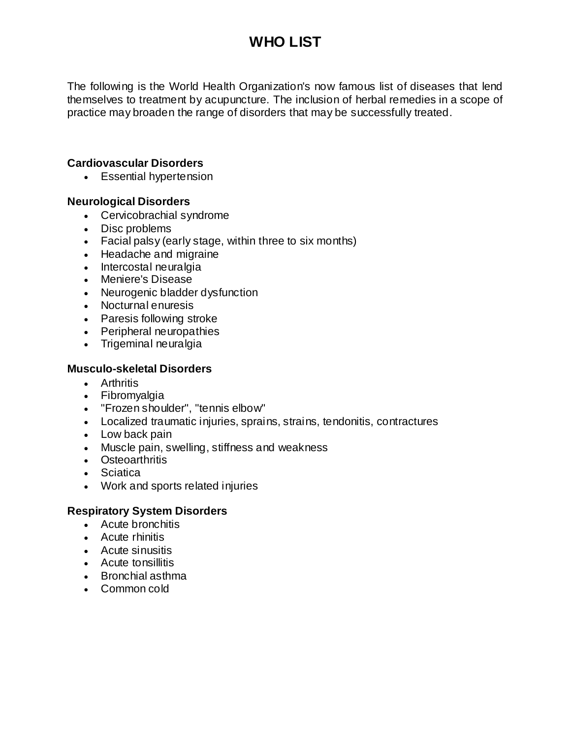## **WHO LIST**

The following is the World Health Organization's now famous list of diseases that lend themselves to treatment by acupuncture. The inclusion of herbal remedies in a scope of practice may broaden the range of disorders that may be successfully treated.

### **Cardiovascular Disorders**

Essential hypertension

#### **Neurological Disorders**

- Cervicobrachial syndrome
- Disc problems
- Facial palsy (early stage, within three to six months)
- Headache and migraine
- Intercostal neuralgia
- Meniere's Disease
- Neurogenic bladder dysfunction
- Nocturnal enuresis
- Paresis following stroke
- Peripheral neuropathies
- Trigeminal neuralgia

#### **Musculo-skeletal Disorders**

- Arthritis
- Fibromyalgia
- "Frozen shoulder", "tennis elbow"
- Localized traumatic injuries, sprains, strains, tendonitis, contractures
- Low back pain
- Muscle pain, swelling, stiffness and weakness
- Osteoarthritis
- Sciatica
- Work and sports related injuries

#### **Respiratory System Disorders**

- Acute bronchitis
- Acute rhinitis
- Acute sinusitis
- Acute tonsillitis
- Bronchial asthma
- Common cold